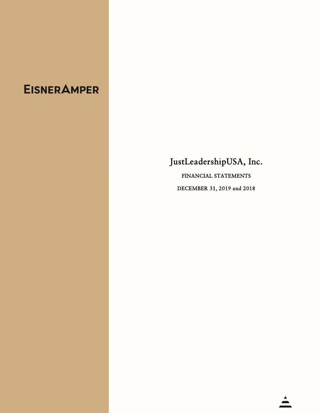# **EISNER AMPER**

# JustLeadershipUSA, Inc.

FINANCIAL STATEMENTS

DECEMBER 31, 2019 and 2018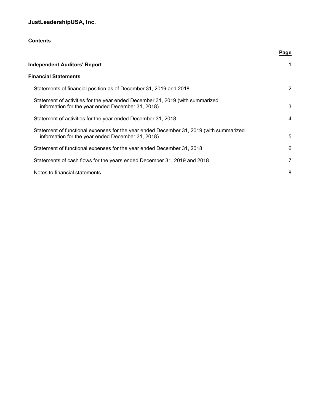# **Contents**

|                                                                                                                                             | <b>Page</b>    |
|---------------------------------------------------------------------------------------------------------------------------------------------|----------------|
| <b>Independent Auditors' Report</b>                                                                                                         | 1              |
| <b>Financial Statements</b>                                                                                                                 |                |
| Statements of financial position as of December 31, 2019 and 2018                                                                           | $\overline{2}$ |
| Statement of activities for the year ended December 31, 2019 (with summarized<br>information for the year ended December 31, 2018)          | 3              |
| Statement of activities for the year ended December 31, 2018                                                                                | 4              |
| Statement of functional expenses for the year ended December 31, 2019 (with summarized<br>information for the year ended December 31, 2018) | 5              |
| Statement of functional expenses for the year ended December 31, 2018                                                                       | 6              |
| Statements of cash flows for the years ended December 31, 2019 and 2018                                                                     | 7              |
| Notes to financial statements                                                                                                               | 8              |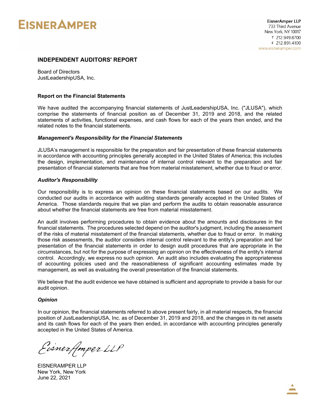# **EISNER AMPER**

# **INDEPENDENT AUDITORS' REPORT**

Board of Directors JustLeadershipUSA, Inc.

#### **Report on the Financial Statements**

We have audited the accompanying financial statements of JustLeadershipUSA, Inc. ("JLUSA"), which comprise the statements of financial position as of December 31, 2019 and 2018, and the related statements of activities, functional expenses, and cash flows for each of the years then ended, and the related notes to the financial statements.

#### *Management's Responsibility for the Financial Statements*

JLUSA's management is responsible for the preparation and fair presentation of these financial statements in accordance with accounting principles generally accepted in the United States of America; this includes the design, implementation, and maintenance of internal control relevant to the preparation and fair presentation of financial statements that are free from material misstatement, whether due to fraud or error.

#### *Auditor's Responsibility*

Our responsibility is to express an opinion on these financial statements based on our audits. We conducted our audits in accordance with auditing standards generally accepted in the United States of America. Those standards require that we plan and perform the audits to obtain reasonable assurance about whether the financial statements are free from material misstatement.

An audit involves performing procedures to obtain evidence about the amounts and disclosures in the financial statements. The procedures selected depend on the auditor's judgment, including the assessment of the risks of material misstatement of the financial statements, whether due to fraud or error. In making those risk assessments, the auditor considers internal control relevant to the entity's preparation and fair presentation of the financial statements in order to design audit procedures that are appropriate in the circumstances, but not for the purpose of expressing an opinion on the effectiveness of the entity's internal control. Accordingly, we express no such opinion. An audit also includes evaluating the appropriateness of accounting policies used and the reasonableness of significant accounting estimates made by management, as well as evaluating the overall presentation of the financial statements.

We believe that the audit evidence we have obtained is sufficient and appropriate to provide a basis for our audit opinion.

#### *Opinion*

In our opinion, the financial statements referred to above present fairly, in all material respects, the financial position of JustLeadershipUSA, Inc. as of December 31, 2019 and 2018, and the changes in its net assets and its cash flows for each of the years then ended, in accordance with accounting principles generally accepted in the United States of America.

Eisnerfmper LLP

EISNERAMPER LLP New York, New York June 22, 2021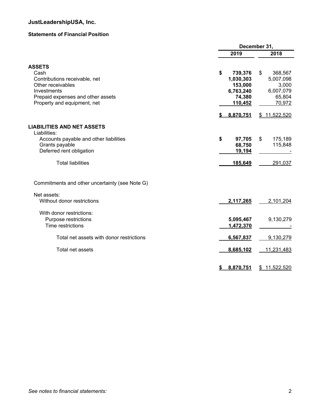# **Statements of Financial Position**

|                                                   | December 31,    |               |  |  |
|---------------------------------------------------|-----------------|---------------|--|--|
|                                                   | 2019            | 2018          |  |  |
| <b>ASSETS</b>                                     |                 |               |  |  |
| Cash                                              | \$<br>739,376   | \$<br>368,567 |  |  |
| Contributions receivable, net                     | 1,030,303       | 5,007,098     |  |  |
| Other receivables                                 | 153,000         | 3,000         |  |  |
| Investments                                       | 6,763,240       | 6,007,079     |  |  |
| Prepaid expenses and other assets                 | 74,380          | 65,804        |  |  |
| Property and equipment, net                       | 110,452         | 70,972        |  |  |
|                                                   | \$8,870,751     | \$11,522,520  |  |  |
| <b>LIABILITIES AND NET ASSETS</b><br>Liabilities: |                 |               |  |  |
| Accounts payable and other liabilities            | \$<br>97,705    | \$<br>175,189 |  |  |
| Grants payable                                    | 68,750          | 115,848       |  |  |
| Deferred rent obligation                          | 19,194          |               |  |  |
|                                                   |                 |               |  |  |
| <b>Total liabilities</b>                          | 185,649         | 291,037       |  |  |
| Commitments and other uncertainty (see Note G)    |                 |               |  |  |
| Net assets:                                       |                 |               |  |  |
| Without donor restrictions                        | 2,117,265       | 2,101,204     |  |  |
| With donor restrictions:                          |                 |               |  |  |
| Purpose restrictions                              | 5,095,467       | 9,130,279     |  |  |
| Time restrictions                                 | 1,472,370       |               |  |  |
|                                                   |                 |               |  |  |
| Total net assets with donor restrictions          | 6,567,837       | 9,130,279     |  |  |
| Total net assets                                  | 8,685,102       | 11,231,483    |  |  |
|                                                   |                 |               |  |  |
|                                                   | 8,870,751<br>\$ | \$11,522,520  |  |  |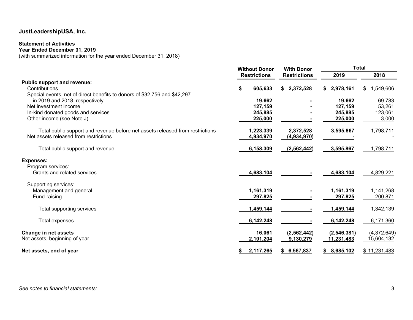# **Statement of Activities**

# **Year Ended December 31, 2019**

(with summarized information for the year ended December 31, 2018)

|                                                                               | <b>Without Donor</b> |                     | <b>With Donor</b>   |    |               | Total |              |  |
|-------------------------------------------------------------------------------|----------------------|---------------------|---------------------|----|---------------|-------|--------------|--|
|                                                                               |                      | <b>Restrictions</b> | <b>Restrictions</b> |    | 2019          |       | 2018         |  |
| <b>Public support and revenue:</b>                                            |                      |                     |                     |    |               |       |              |  |
| Contributions                                                                 | \$                   | 605,633             | 2,372,528<br>S.     | \$ | 2,978,161     | \$    | 1,549,606    |  |
| Special events, net of direct benefits to donors of \$32,756 and \$42,297     |                      |                     |                     |    |               |       |              |  |
| in 2019 and 2018, respectively                                                |                      | 19,662              |                     |    | 19,662        |       | 69,783       |  |
| Net investment income                                                         |                      | 127,159             |                     |    | 127,159       |       | 53,261       |  |
| In-kind donated goods and services                                            |                      | 245,885             |                     |    | 245,885       |       | 123,061      |  |
| Other income (see Note J)                                                     |                      | 225,000             |                     |    | 225,000       |       | 3,000        |  |
| Total public support and revenue before net assets released from restrictions |                      | 1,223,339           | 2,372,528           |    | 3,595,867     |       | 1,798,711    |  |
| Net assets released from restrictions                                         |                      | 4,934,970           | (4,934,970)         |    |               |       |              |  |
| Total public support and revenue                                              |                      | 6,158,309           | (2, 562, 442)       |    | 3,595,867     |       | 1,798,711    |  |
| <b>Expenses:</b>                                                              |                      |                     |                     |    |               |       |              |  |
| Program services:                                                             |                      |                     |                     |    |               |       |              |  |
| Grants and related services                                                   |                      | 4,683,104           |                     |    | 4,683,104     |       | 4,829,221    |  |
| Supporting services:                                                          |                      |                     |                     |    |               |       |              |  |
| Management and general                                                        |                      | 1,161,319           |                     |    | 1,161,319     |       | 1,141,268    |  |
| Fund-raising                                                                  |                      | 297,825             |                     |    | 297,825       |       | 200,871      |  |
| Total supporting services                                                     |                      | 1,459,144           |                     |    | 1,459,144     |       | 1,342,139    |  |
| Total expenses                                                                |                      | 6,142,248           |                     |    | 6,142,248     |       | 6,171,360    |  |
| <b>Change in net assets</b>                                                   |                      | 16,061              | (2, 562, 442)       |    | (2, 546, 381) |       | (4,372,649)  |  |
| Net assets, beginning of year                                                 |                      | 2,101,204           | 9,130,279           |    | 11,231,483    |       | 15,604,132   |  |
| Net assets, end of year                                                       | S.                   | 2,117,265           | \$6,567,837         |    | \$8,685,102   |       | \$11,231,483 |  |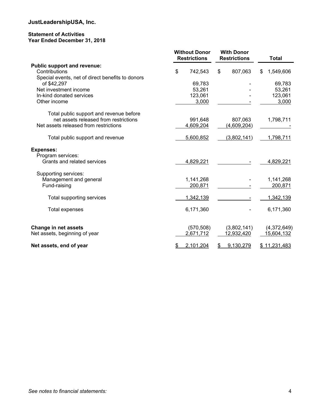# **Statement of Activities Year Ended December 31, 2018**

|                                                  | <b>Without Donor</b><br><b>Restrictions</b> |            | <b>With Donor</b><br><b>Restrictions</b> |             | <b>Total</b>    |
|--------------------------------------------------|---------------------------------------------|------------|------------------------------------------|-------------|-----------------|
| Public support and revenue:                      |                                             |            |                                          |             |                 |
| Contributions                                    | \$                                          | 742,543    | \$                                       | 807,063     | \$<br>1,549,606 |
| Special events, net of direct benefits to donors |                                             |            |                                          |             |                 |
| of \$42,297                                      |                                             | 69,783     |                                          |             | 69,783          |
| Net investment income                            |                                             | 53,261     |                                          |             | 53,261          |
| In-kind donated services                         |                                             | 123,061    |                                          |             | 123,061         |
| Other income                                     |                                             | 3,000      |                                          |             | 3,000           |
| Total public support and revenue before          |                                             |            |                                          |             |                 |
| net assets released from restrictions            |                                             | 991,648    |                                          | 807,063     | 1,798,711       |
| Net assets released from restrictions            |                                             | 4,609,204  |                                          | (4,609,204) |                 |
| Total public support and revenue                 |                                             | 5,600,852  |                                          | (3,802,141) | 1,798,711       |
| <b>Expenses:</b>                                 |                                             |            |                                          |             |                 |
| Program services:                                |                                             |            |                                          |             |                 |
| Grants and related services                      |                                             | 4,829,221  |                                          |             | 4,829,221       |
| Supporting services:                             |                                             |            |                                          |             |                 |
| Management and general                           |                                             | 1,141,268  |                                          |             | 1,141,268       |
| Fund-raising                                     |                                             | 200,871    |                                          |             | 200,871         |
| Total supporting services                        |                                             | 1,342,139  |                                          |             | 1,342,139       |
| Total expenses                                   |                                             | 6,171,360  |                                          |             | 6,171,360       |
| <b>Change in net assets</b>                      |                                             | (570, 508) |                                          | (3,802,141) | (4,372,649)     |
| Net assets, beginning of year                    |                                             | 2,671,712  |                                          | 12,932,420  | 15,604,132      |
| Net assets, end of year                          |                                             | 2,101,204  |                                          | 9,130,279   | \$11,231,483    |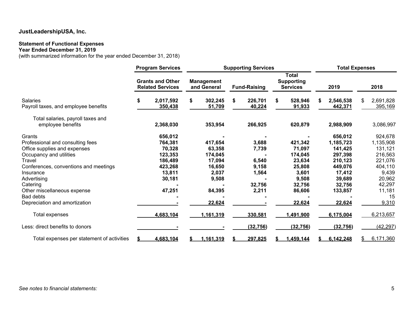#### **Statement of Functional Expenses**

#### **Year Ended December 31, 2019**

(with summarized information for the year ended December 31, 2018)

|                                                         | <b>Program Services</b>                            |                      | <b>Supporting Services</b>       |                   |                     |                   |    | <b>Total Expenses</b> |                                               |                      |                            |  |      |  |      |
|---------------------------------------------------------|----------------------------------------------------|----------------------|----------------------------------|-------------------|---------------------|-------------------|----|-----------------------|-----------------------------------------------|----------------------|----------------------------|--|------|--|------|
|                                                         | <b>Grants and Other</b><br><b>Related Services</b> |                      | <b>Management</b><br>and General |                   | <b>Fund-Raising</b> |                   |    |                       | Total<br><b>Supporting</b><br><b>Services</b> |                      |                            |  | 2019 |  | 2018 |
| <b>Salaries</b><br>Payroll taxes, and employee benefits | \$                                                 | 2,017,592<br>350,438 | \$                               | 302,245<br>51,709 | \$                  | 226,701<br>40,224 | \$ | 528,946<br>91,933     | \$                                            | 2,546,538<br>442,371 | \$<br>2,691,828<br>395,169 |  |      |  |      |
| Total salaries, payroll taxes and<br>employee benefits  |                                                    | 2,368,030            |                                  | 353,954           |                     | 266,925           |    | 620,879               |                                               | 2,988,909            | 3,086,997                  |  |      |  |      |
| Grants                                                  |                                                    | 656,012              |                                  |                   |                     |                   |    |                       |                                               | 656,012              | 924,678                    |  |      |  |      |
| Professional and consulting fees                        |                                                    | 764,381              |                                  | 417,654           |                     | 3,688             |    | 421,342               |                                               | 1,185,723            | 1,135,908                  |  |      |  |      |
| Office supplies and expenses                            |                                                    | 70,328               |                                  | 63,358            |                     | 7,739             |    | 71,097                |                                               | 141,425              | 131,121                    |  |      |  |      |
| Occupancy and utilities                                 |                                                    | 123,353              |                                  | 174,045           |                     |                   |    | 174,045               |                                               | 297,398              | 216,563                    |  |      |  |      |
| Travel                                                  |                                                    | 186,489              |                                  | 17,094            |                     | 6,540             |    | 23,634                |                                               | 210,123              | 221,076                    |  |      |  |      |
| Conferences, conventions and meetings                   |                                                    | 423,268              |                                  | 16,650            |                     | 9,158             |    | 25,808                |                                               | 449,076              | 404,110                    |  |      |  |      |
| Insurance                                               |                                                    | 13,811               |                                  | 2,037             |                     | 1,564             |    | 3,601                 |                                               | 17,412               | 9,439                      |  |      |  |      |
| Advertising                                             |                                                    | 30,181               |                                  | 9,508             |                     |                   |    | 9,508                 |                                               | 39,689               | 20,962                     |  |      |  |      |
| Catering                                                |                                                    |                      |                                  |                   |                     | 32,756            |    | 32,756                |                                               | 32,756               | 42,297                     |  |      |  |      |
| Other miscellaneous expense                             |                                                    | 47,251               |                                  | 84,395            |                     | 2,211             |    | 86,606                |                                               | 133,857              | 11,181                     |  |      |  |      |
| <b>Bad debts</b>                                        |                                                    |                      |                                  |                   |                     |                   |    |                       |                                               |                      | 15                         |  |      |  |      |
| Depreciation and amortization                           |                                                    |                      |                                  | 22,624            |                     |                   |    | 22,624                |                                               | 22,624               | 9,310                      |  |      |  |      |
| Total expenses                                          |                                                    | 4,683,104            |                                  | 1,161,319         |                     | 330,581           |    | 1,491,900             |                                               | 6,175,004            | 6,213,657                  |  |      |  |      |
| Less: direct benefits to donors                         |                                                    |                      |                                  |                   |                     | (32, 756)         |    | (32, 756)             |                                               | (32, 756)            | (42, 297)                  |  |      |  |      |
| Total expenses per statement of activities              |                                                    | 4,683,104            |                                  | <u>1,161,319</u>  |                     | 297,825           |    | 1,459,144             |                                               | 6,142,248            | \$<br>6,171,360            |  |      |  |      |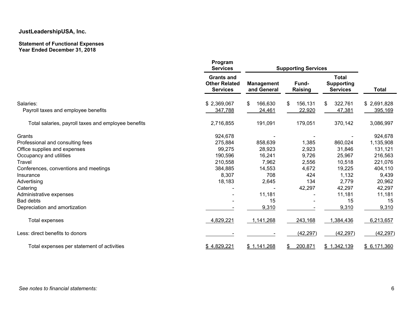#### **Statement of Functional Expenses Year Ended December 31, 2018**

|                                                     | Program<br><b>Services</b>                                   | <b>Supporting Services</b>       |                  |                                                      |              |
|-----------------------------------------------------|--------------------------------------------------------------|----------------------------------|------------------|------------------------------------------------------|--------------|
|                                                     | <b>Grants and</b><br><b>Other Related</b><br><b>Services</b> | <b>Management</b><br>and General | Fund-<br>Raising | <b>Total</b><br><b>Supporting</b><br><b>Services</b> | <b>Total</b> |
| Salaries:                                           | \$2,369,067                                                  | \$<br>166,630                    | 156,131<br>\$    | 322,761<br>\$                                        | \$2,691,828  |
| Payroll taxes and employee benefits                 | 347,788                                                      | 24,461                           | 22,920           | 47,381                                               | 395,169      |
| Total salaries, payroll taxes and employee benefits | 2,716,855                                                    | 191,091                          | 179,051          | 370,142                                              | 3,086,997    |
| Grants                                              | 924,678                                                      |                                  |                  |                                                      | 924,678      |
| Professional and consulting fees                    | 275,884                                                      | 858,639                          | 1,385            | 860,024                                              | 1,135,908    |
| Office supplies and expenses                        | 99,275                                                       | 28,923                           | 2,923            | 31,846                                               | 131,121      |
| Occupancy and utilities                             | 190,596                                                      | 16,241                           | 9,726            | 25,967                                               | 216,563      |
| Travel                                              | 210,558                                                      | 7,962                            | 2,556            | 10,518                                               | 221,076      |
| Conferences, conventions and meetings               | 384,885                                                      | 14,553                           | 4,672            | 19,225                                               | 404,110      |
| Insurance                                           | 8,307                                                        | 708                              | 424              | 1,132                                                | 9,439        |
| Advertising                                         | 18,183                                                       | 2,645                            | 134              | 2,779                                                | 20,962       |
| Catering                                            |                                                              |                                  | 42,297           | 42,297                                               | 42,297       |
| Administrative expenses                             |                                                              | 11,181                           |                  | 11,181                                               | 11,181       |
| <b>Bad debts</b>                                    |                                                              | 15                               |                  | 15                                                   | 15           |
| Depreciation and amortization                       |                                                              | 9,310                            |                  | 9,310                                                | 9,310        |
| Total expenses                                      | 4,829,221                                                    | 1,141,268                        | 243,168          | 1,384,436                                            | 6,213,657    |
| Less: direct benefits to donors                     |                                                              |                                  | (42, 297)        | (42, 297)                                            | (42, 297)    |
| Total expenses per statement of activities          | \$4,829,221                                                  | \$1,141,268                      | 200,871<br>\$    | \$1,342,139                                          | \$6,171,360  |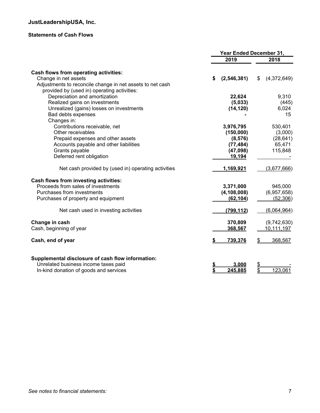# **Statements of Cash Flows**

|                                                                                           |    | Year Ended December 31, |    |             |
|-------------------------------------------------------------------------------------------|----|-------------------------|----|-------------|
|                                                                                           |    | 2019                    |    | 2018        |
| <b>Cash flows from operating activities:</b>                                              |    |                         |    |             |
| Change in net assets                                                                      | S  | (2, 546, 381)           | \$ | (4,372,649) |
| Adjustments to reconcile change in net assets to net cash                                 |    |                         |    |             |
| provided by (used in) operating activities:                                               |    |                         |    |             |
| Depreciation and amortization                                                             |    | 22,624                  |    | 9,310       |
| Realized gains on investments                                                             |    | (5,033)                 |    | (445)       |
| Unrealized (gains) losses on investments                                                  |    | (14, 120)               |    | 6,024       |
| Bad debts expenses                                                                        |    |                         |    | 15          |
| Changes in:                                                                               |    |                         |    |             |
| Contributions receivable, net                                                             |    | 3,976,795               |    | 530,401     |
| Other receivables                                                                         |    | (150,000)               |    | (3,000)     |
| Prepaid expenses and other assets                                                         |    | (8, 576)                |    | (28, 641)   |
| Accounts payable and other liabilities                                                    |    | (77, 484)               |    | 65,471      |
| Grants payable                                                                            |    | (47,098)                |    | 115,848     |
| Deferred rent obligation                                                                  |    | 19,194                  |    |             |
| Net cash provided by (used in) operating activities                                       |    | 1,169,921               |    | (3,677,666) |
| <b>Cash flows from investing activities:</b>                                              |    |                         |    |             |
| Proceeds from sales of investments                                                        |    | 3,371,000               |    | 945,000     |
| Purchases from investments                                                                |    | (4, 108, 008)           |    | (6,957,658) |
| Purchases of property and equipment                                                       |    | (62, 104)               |    | (52, 306)   |
| Net cash used in investing activities                                                     |    | (799, 112)              |    | (6,064,964) |
| Change in cash                                                                            |    | 370,809                 |    | (9,742,630) |
| Cash, beginning of year                                                                   |    | 368,567                 |    | 10,111,197  |
| Cash, end of year                                                                         | S  | 739,376                 | \$ | 368,567     |
| Supplemental disclosure of cash flow information:<br>Unrelated business income taxes paid |    | 3.000                   |    |             |
| In-kind donation of goods and services                                                    | \$ | 245,885                 | \$ | 123,061     |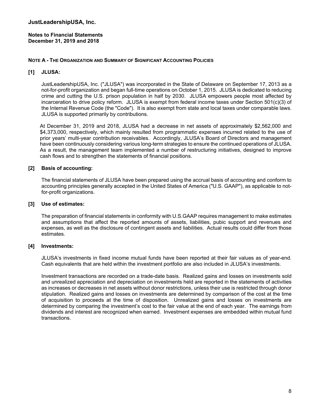**Notes to Financial Statements December 31, 2019 and 2018** 

#### **NOTE A - THE ORGANIZATION AND SUMMARY OF SIGNIFICANT ACCOUNTING POLICIES**

# **[1] JLUSA:**

JustLeadershipUSA, Inc. ("JLUSA") was incorporated in the State of Delaware on September 17, 2013 as a not-for-profit organization and began full-time operations on October 1, 2015. JLUSA is dedicated to reducing crime and cutting the U.S. prison population in half by 2030. JLUSA empowers people most affected by incarceration to drive policy reform. JLUSA is exempt from federal income taxes under Section 501(c)(3) of the Internal Revenue Code (the "Code"). It is also exempt from state and local taxes under comparable laws. JLUSA is supported primarily by contributions.

At December 31, 2019 and 2018, JLUSA had a decrease in net assets of approximately \$2,562,000 and \$4,373,000, respectively, which mainly resulted from programmatic expenses incurred related to the use of prior years' multi-year contribution receivables. Accordingly, JLUSA's Board of Directors and management have been continuously considering various long-term strategies to ensure the continued operations of JLUSA. As a result, the management team implemented a number of restructuring initiatives, designed to improve cash flows and to strengthen the statements of financial positions.

#### **[2] Basis of accounting:**

The financial statements of JLUSA have been prepared using the accrual basis of accounting and conform to accounting principles generally accepted in the United States of America ("U.S. GAAP"), as applicable to notfor-profit organizations.

# **[3] Use of estimates:**

The preparation of financial statements in conformity with U.S.GAAP requires management to make estimates and assumptions that affect the reported amounts of assets, liabilities, pubic support and revenues and expenses, as well as the disclosure of contingent assets and liabilities. Actual results could differ from those estimates.

# **[4] Investments:**

JLUSA's investments in fixed income mutual funds have been reported at their fair values as of year-end. Cash equivalents that are held within the investment portfolio are also included in JLUSA's investments.

Investment transactions are recorded on a trade-date basis. Realized gains and losses on investments sold and unrealized appreciation and depreciation on investments held are reported in the statements of activities as increases or decreases in net assets without donor restrictions, unless their use is restricted through donor stipulation. Realized gains and losses on investments are determined by comparison of the cost at the time of acquisition to proceeds at the time of disposition. Unrealized gains and losses on investments are determined by comparing the investment's cost to the fair value at the end of each year. The earnings from dividends and interest are recognized when earned. Investment expenses are embedded within mutual fund transactions.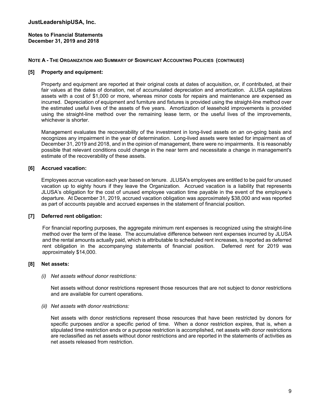**Notes to Financial Statements December 31, 2019 and 2018** 

#### **NOTE A - THE ORGANIZATION AND SUMMARY OF SIGNIFICANT ACCOUNTING POLICIES (CONTINUED)**

#### **[5] Property and equipment:**

Property and equipment are reported at their original costs at dates of acquisition, or, if contributed, at their fair values at the dates of donation, net of accumulated depreciation and amortization. JLUSA capitalizes assets with a cost of \$1,000 or more, whereas minor costs for repairs and maintenance are expensed as incurred. Depreciation of equipment and furniture and fixtures is provided using the straight-line method over the estimated useful lives of the assets of five years. Amortization of leasehold improvements is provided using the straight-line method over the remaining lease term, or the useful lives of the improvements, whichever is shorter.

Management evaluates the recoverability of the investment in long-lived assets on an on-going basis and recognizes any impairment in the year of determination. Long-lived assets were tested for impairment as of December 31, 2019 and 2018, and in the opinion of management, there were no impairments. It is reasonably possible that relevant conditions could change in the near term and necessitate a change in management's estimate of the recoverability of these assets.

#### **[6] Accrued vacation:**

Employees accrue vacation each year based on tenure. JLUSA's employees are entitled to be paid for unused vacation up to eighty hours if they leave the Organization. Accrued vacation is a liability that represents JLUSA's obligation for the cost of unused employee vacation time payable in the event of the employee's departure. At December 31, 2019, accrued vacation obligation was approximately \$38,000 and was reported as part of accounts payable and accrued expenses in the statement of financial position.

# **[7] Deferred rent obligation:**

For financial reporting purposes, the aggregate minimum rent expenses is recognized using the straight-line method over the term of the lease. The accumulative difference between rent expenses incurred by JLUSA and the rental amounts actually paid, which is attributable to scheduled rent increases, is reported as deferred rent obligation in the accompanying statements of financial position. Deferred rent for 2019 was approximately \$14,000.

# **[8] Net assets:**

#### *(i) Net assets without donor restrictions:*

Net assets without donor restrictions represent those resources that are not subject to donor restrictions and are available for current operations.

*(ii) Net assets with donor restrictions:* 

Net assets with donor restrictions represent those resources that have been restricted by donors for specific purposes and/or a specific period of time. When a donor restriction expires, that is, when a stipulated time restriction ends or a purpose restriction is accomplished, net assets with donor restrictions are reclassified as net assets without donor restrictions and are reported in the statements of activities as net assets released from restriction.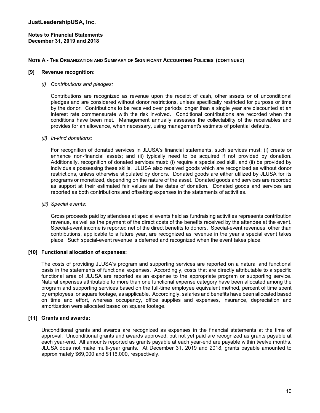**Notes to Financial Statements December 31, 2019 and 2018** 

# **NOTE A - THE ORGANIZATION AND SUMMARY OF SIGNIFICANT ACCOUNTING POLICIES (CONTINUED)**

#### **[9] Revenue recognition:**

#### *(i) Contributions and pledges:*

Contributions are recognized as revenue upon the receipt of cash, other assets or of unconditional pledges and are considered without donor restrictions, unless specifically restricted for purpose or time by the donor. Contributions to be received over periods longer than a single year are discounted at an interest rate commensurate with the risk involved. Conditional contributions are recorded when the conditions have been met. Management annually assesses the collectability of the receivables and provides for an allowance, when necessary, using management's estimate of potential defaults.

#### *(ii) In-kind donations:*

For recognition of donated services in JLUSA's financial statements, such services must: (i) create or enhance non-financial assets; and (ii) typically need to be acquired if not provided by donation. Additionally, recognition of donated services must: (i) require a specialized skill, and (ii) be provided by individuals possessing these skills. JLUSA also received goods which are recognized as without donor restrictions, unless otherwise stipulated by donors. Donated goods are either utilized by JLUSA for its programs or monetized, depending on the nature of the asset. Donated goods and services are recorded as support at their estimated fair values at the dates of donation. Donated goods and services are reported as both contributions and offsetting expenses in the statements of activities.

#### *(iii) Special events:*

Gross proceeds paid by attendees at special events held as fundraising activities represents contribution revenue, as well as the payment of the direct costs of the benefits received by the attendee at the event. Special-event income is reported net of the direct benefits to donors. Special-event revenues, other than contributions, applicable to a future year, are recognized as revenue in the year a special event takes place. Such special-event revenue is deferred and recognized when the event takes place.

# **[10] Functional allocation of expenses:**

The costs of providing JLUSA's program and supporting services are reported on a natural and functional basis in the statements of functional expenses. Accordingly, costs that are directly attributable to a specific functional area of JLUSA are reported as an expense to the appropriate program or supporting service. Natural expenses attributable to more than one functional expense category have been allocated among the program and supporting services based on the full-time employee equivalent method, percent of time spent by employees, or square footage, as applicable. Accordingly, salaries and benefits have been allocated based on time and effort, whereas occupancy, office supplies and expenses, insurance, depreciation and amortization were allocated based on square footage.

# **[11] Grants and awards:**

Unconditional grants and awards are recognized as expenses in the financial statements at the time of approval. Unconditional grants and awards approved, but not yet paid are recognized as grants payable at each year-end. All amounts reported as grants payable at each year-end are payable within twelve months. JLUSA does not make multi-year grants. At December 31, 2019 and 2018, grants payable amounted to approximately \$69,000 and \$116,000, respectively.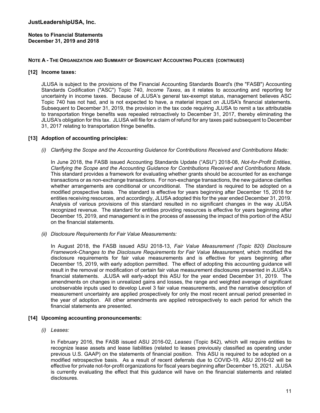# **Notes to Financial Statements December 31, 2019 and 2018**

# **NOTE A - THE ORGANIZATION AND SUMMARY OF SIGNIFICANT ACCOUNTING POLICIES (CONTINUED)**

# **[12] Income taxes:**

JLUSA is subject to the provisions of the Financial Accounting Standards Board's (the "FASB") Accounting Standards Codification ("ASC") Topic 740, *Income Taxes*, as it relates to accounting and reporting for uncertainty in income taxes. Because of JLUSA's general tax-exempt status, management believes ASC Topic 740 has not had, and is not expected to have, a material impact on JLUSA's financial statements. Subsequent to December 31, 2019, the provision in the tax code requiring JLUSA to remit a tax attributable to transportation fringe benefits was repealed retroactively to December 31, 2017, thereby eliminating the JLUSA's obligation for this tax. JLUSA will file for a claim of refund for any taxes paid subsequent to December 31, 2017 relating to transportation fringe benefits.

# **[13] Adoption of accounting principles:**

*(i) Clarifying the Scope and the Accounting Guidance for Contributions Received and Contributions Made:*

In June 2018, the FASB issued Accounting Standards Update ("ASU") 2018-08, *Not-for-Profit Entities*, *Clarifying the Scope and the Accounting Guidance for Contributions Received and Contributions Made*. This standard provides a framework for evaluating whether grants should be accounted for as exchange transactions or as non-exchange transactions. For non-exchange transactions, the new guidance clarifies whether arrangements are conditional or unconditional. The standard is required to be adopted on a modified prospective basis. The standard is effective for years beginning after December 15, 2018 for entities receiving resources, and accordingly, JLUSA adopted this for the year ended December 31, 2019. Analysis of various provisions of this standard resulted in no significant changes in the way JLUSA recognized revenue. The standard for entities providing resources is effective for years beginning after December 15, 2019, and management is in the process of assessing the impact of this portion of the ASU on the financial statements.

*(ii) Disclosure Requirements for Fair Value Measurements:* 

In August 2018, the FASB issued ASU 2018-13, *Fair Value Measurement (Topic 820) Disclosure Framework-Changes to the Disclosure Requirements for Fair Value Measurement,* which modified the disclosure requirements for fair value measurements and is effective for years beginning after December 15, 2019, with early adoption permitted. The effect of adopting this accounting guidance will result in the removal or modification of certain fair value measurement disclosures presented in JLUSA's financial statements. JLUSA will early-adopt this ASU for the year ended December 31, 2019. The amendments on changes in unrealized gains and losses, the range and weighted average of significant unobservable inputs used to develop Level 3 fair value measurements, and the narrative description of measurement uncertainty are applied prospectively for only the most recent annual period presented in the year of adoption. All other amendments are applied retrospectively to each period for which the financial statements are presented.

# **[14] Upcoming accounting pronouncements:**

*(i) Leases:* 

In February 2016, the FASB issued ASU 2016-02, *Leases* (Topic 842), which will require entities to recognize lease assets and lease liabilities (related to leases previously classified as operating under previous U.S. GAAP) on the statements of financial position. This ASU is required to be adopted on a modified retrospective basis. As a result of recent deferrals due to COVID-19, ASU 2016-02 will be effective for private not-for-profit organizations for fiscal years beginning after December 15, 2021. JLUSA is currently evaluating the effect that this guidance will have on the financial statements and related disclosures.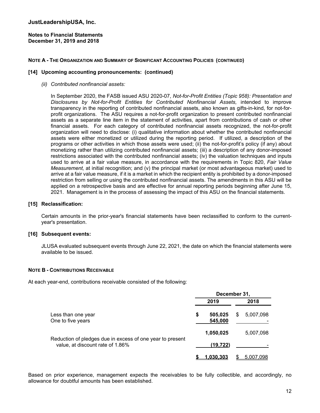**Notes to Financial Statements December 31, 2019 and 2018** 

# **NOTE A - THE ORGANIZATION AND SUMMARY OF SIGNIFICANT ACCOUNTING POLICIES (CONTINUED)**

# **[14] Upcoming accounting pronouncements: (continued)**

*(ii) Contributed nonfinancial assets:* 

In September 2020, the FASB issued ASU 2020-07, *Not-for-Profit Entities (Topic 958): Presentation and Disclosures by Not-for-Profit Entities for Contributed Nonfinancial Assets,* intended to improve transparency in the reporting of contributed nonfinancial assets, also known as gifts-in-kind, for not-forprofit organizations. The ASU requires a not-for-profit organization to present contributed nonfinancial assets as a separate line item in the statement of activities, apart from contributions of cash or other financial assets. For each category of contributed nonfinancial assets recognized, the not-for-profit organization will need to disclose: (i) qualitative information about whether the contributed nonfinancial assets were either monetized or utilized during the reporting period. If utilized, a description of the programs or other activities in which those assets were used; (ii) the not-for-profit's policy (if any) about monetizing rather than utilizing contributed nonfinancial assets; (iii) a description of any donor-imposed restrictions associated with the contributed nonfinancial assets; (iv) the valuation techniques and inputs used to arrive at a fair value measure, in accordance with the requirements in Topic 820, *Fair Value Measurement,* at initial recognition; and (v) the principal market (or most advantageous market) used to arrive at a fair value measure, if it is a market in which the recipient entity is prohibited by a donor-imposed restriction from selling or using the contributed nonfinancial assets. The amendments in this ASU will be applied on a retrospective basis and are effective for annual reporting periods beginning after June 15, 2021. Management is in the process of assessing the impact of this ASU on the financial statements.

# **[15] Reclassification:**

Certain amounts in the prior-year's financial statements have been reclassified to conform to the currentyear's presentation.

# **[16] Subsequent events:**

JLUSA evaluated subsequent events through June 22, 2021, the date on which the financial statements were available to be issued.

# **NOTE B - CONTRIBUTIONS RECEIVABLE**

At each year-end, contributions receivable consisted of the following:

|                                                                                               | December 31, |                    |   |           |
|-----------------------------------------------------------------------------------------------|--------------|--------------------|---|-----------|
|                                                                                               |              | 2019               |   | 2018      |
| Less than one year<br>One to five years                                                       | \$           | 505,025<br>545,000 | S | 5,007,098 |
|                                                                                               |              | 1,050,025          |   | 5,007,098 |
| Reduction of pledges due in excess of one year to present<br>value, at discount rate of 1.86% |              | (19, 722)          |   |           |
|                                                                                               |              | <u>1.030.303</u>   |   | 5,007,098 |

Based on prior experience, management expects the receivables to be fully collectible, and accordingly, no allowance for doubtful amounts has been established.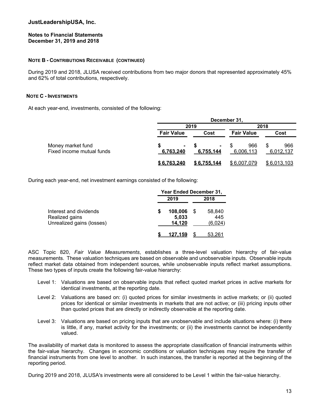# **Notes to Financial Statements December 31, 2019 and 2018**

# **NOTE B - CONTRIBUTIONS RECEIVABLE (CONTINUED)**

During 2019 and 2018, JLUSA received contributions from two major donors that represented approximately 45% and 62% of total contributions, respectively.

# **NOTE C - INVESTMENTS**

At each year-end, investments, consisted of the following:

|                                                |                         | December 31,        |                          |                  |  |  |  |
|------------------------------------------------|-------------------------|---------------------|--------------------------|------------------|--|--|--|
|                                                |                         | 2019                |                          | 2018             |  |  |  |
|                                                | <b>Fair Value</b>       | Cost                | <b>Fair Value</b>        | Cost             |  |  |  |
| Money market fund<br>Fixed income mutual funds | $\sim 100$<br>6,763,240 | $\sim$<br>6,755,144 | 966<br>- \$<br>6,006,113 | 966<br>6,012,137 |  |  |  |
|                                                | \$6.763.240             | \$6.755.144         | <u>\$6,007,079</u>       | \$6,013,103      |  |  |  |

During each year-end, net investment earnings consisted of the following:

|                                                                       | <b>Year Ended December 31,</b> |                            |  |                          |
|-----------------------------------------------------------------------|--------------------------------|----------------------------|--|--------------------------|
|                                                                       |                                | 2019                       |  | 2018                     |
| Interest and dividends<br>Realized gains<br>Unrealized gains (losses) |                                | 108,006<br>5,033<br>14,120 |  | 58,840<br>445<br>(6,024) |
|                                                                       |                                | <u>127.159</u>             |  | 53,261                   |

ASC Topic 820, *Fair Value Measurements*, establishes a three-level valuation hierarchy of fair-value measurements. These valuation techniques are based on observable and unobservable inputs. Observable inputs reflect market data obtained from independent sources, while unobservable inputs reflect market assumptions. These two types of inputs create the following fair-value hierarchy:

- Level 1: Valuations are based on observable inputs that reflect quoted market prices in active markets for identical investments, at the reporting date.
- Level 2: Valuations are based on: (i) quoted prices for similar investments in active markets; or (ii) quoted prices for identical or similar investments in markets that are not active; or (iii) pricing inputs other than quoted prices that are directly or indirectly observable at the reporting date.
- Level 3: Valuations are based on pricing inputs that are unobservable and include situations where: (i) there is little, if any, market activity for the investments; or (ii) the investments cannot be independently valued.

The availability of market data is monitored to assess the appropriate classification of financial instruments within the fair-value hierarchy. Changes in economic conditions or valuation techniques may require the transfer of financial instruments from one level to another. In such instances, the transfer is reported at the beginning of the reporting period.

During 2019 and 2018, JLUSA's investments were all considered to be Level 1 within the fair-value hierarchy.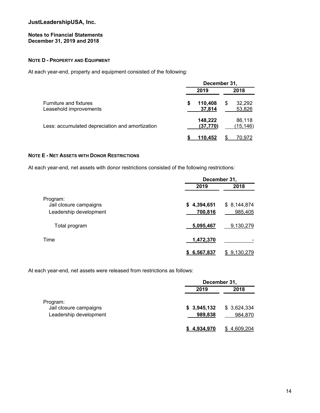# **Notes to Financial Statements December 31, 2019 and 2018**

# **NOTE D - PROPERTY AND EQUIPMENT**

At each year-end, property and equipment consisted of the following:

|                                                         | December 31, |                      |    |                    |
|---------------------------------------------------------|--------------|----------------------|----|--------------------|
|                                                         |              | 2019                 |    | 2018               |
| <b>Furniture and fixtures</b><br>Leasehold improvements | S            | 110,408<br>37,814    | \$ | 32,292<br>53,826   |
| Less: accumulated depreciation and amortization         |              | 148,222<br>(37, 770) |    | 86,118<br>(15,146) |
|                                                         |              | 110.452              |    | 70.972             |

# **NOTE E - NET ASSETS WITH DONOR RESTRICTIONS**

At each year-end, net assets with donor restrictions consisted of the following restrictions:

|                                                              | December 31,               |                         |  |  |
|--------------------------------------------------------------|----------------------------|-------------------------|--|--|
|                                                              | 2019                       | 2018                    |  |  |
| Program:<br>Jail closure campaigns<br>Leadership development | 4,394,651<br>S.<br>700,816 | \$8,144,874<br>985,405  |  |  |
| Total program                                                | 5,095,467                  | 9,130,279               |  |  |
| Time                                                         | 1,472,370                  |                         |  |  |
|                                                              | \$6.567.837                | <u>9,130,279</u><br>\$. |  |  |

At each year-end, net assets were released from restrictions as follows:

|                        | December 31,     |             |
|------------------------|------------------|-------------|
|                        | 2019             | 2018        |
| Program:               |                  |             |
| Jail closure campaigns | \$3,945,132      | \$3,624,334 |
| Leadership development | 989,838          | 984,870     |
|                        | <u>4.934.970</u> | 4,609,204   |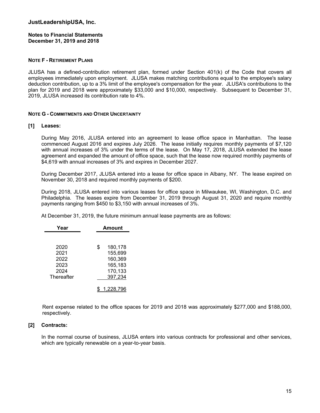# **Notes to Financial Statements December 31, 2019 and 2018**

# **NOTE F - RETIREMENT PLANS**

JLUSA has a defined-contribution retirement plan, formed under Section 401(k) of the Code that covers all employees immediately upon employment. JLUSA makes matching contributions equal to the employee's salary deduction contribution, up to a 3% limit of the employee's compensation for the year. JLUSA's contributions to the plan for 2019 and 2018 were approximately \$33,000 and \$10,000, respectively. Subsequent to December 31, 2019, JLUSA increased its contribution rate to 4%.

# **NOTE G - COMMITMENTS AND OTHER UNCERTAINTY**

# **[1] Leases:**

During May 2016, JLUSA entered into an agreement to lease office space in Manhattan. The lease commenced August 2016 and expires July 2026. The lease initially requires monthly payments of \$7,120 with annual increases of 3% under the terms of the lease. On May 17, 2018, JLUSA extended the lease agreement and expanded the amount of office space, such that the lease now required monthly payments of \$4,619 with annual increases of 3% and expires in December 2027.

During December 2017, JLUSA entered into a lease for office space in Albany, NY. The lease expired on November 30, 2018 and required monthly payments of \$200.

During 2018, JLUSA entered into various leases for office space in Milwaukee, WI, Washington, D.C. and Philadelphia. The leases expire from December 31, 2019 through August 31, 2020 and require monthly payments ranging from \$450 to \$3,150 with annual increases of 3%.

At December 31, 2019, the future minimum annual lease payments are as follows:

| Year       | Amount        |  |  |
|------------|---------------|--|--|
|            |               |  |  |
| 2020       | 180,178<br>\$ |  |  |
| 2021       | 155,699       |  |  |
| 2022       | 160,369       |  |  |
| 2023       | 165,183       |  |  |
| 2024       | 170,133       |  |  |
| Thereafter | 397,234       |  |  |
|            |               |  |  |
|            | .228.796      |  |  |

Rent expense related to the office spaces for 2019 and 2018 was approximately \$277,000 and \$188,000, respectively.

# **[2] Contracts:**

In the normal course of business, JLUSA enters into various contracts for professional and other services, which are typically renewable on a year-to-year basis.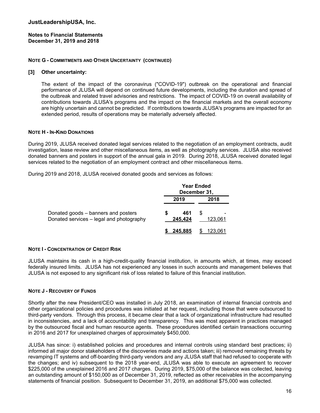**Notes to Financial Statements December 31, 2019 and 2018** 

# **NOTE G - COMMITMENTS AND OTHER UNCERTAINTY (CONTINUED)**

# **[3] Other uncertainty:**

The extent of the impact of the coronavirus ("COVID-19") outbreak on the operational and financial performance of JLUSA will depend on continued future developments, including the duration and spread of the outbreak and related travel advisories and restrictions. The impact of COVID-19 on overall availability of contributions towards JLUSA's programs and the impact on the financial markets and the overall economy are highly uncertain and cannot be predicted. If contributions towards JLUSA's programs are impacted for an extended period, results of operations may be materially adversely affected.

# **NOTE H - IN-KIND DONATIONS**

During 2019, JLUSA received donated legal services related to the negotiation of an employment contracts, audit investigation, lease review and other miscellaneous items, as well as photography services. JLUSA also received donated banners and posters in support of the annual gala in 2019. During 2018, JLUSA received donated legal services related to the negotiation of an employment contract and other miscellaneous items.

During 2019 and 2018, JLUSA received donated goods and services as follows:

|                                                                                 | <b>Year Ended</b><br>December 31, |              |
|---------------------------------------------------------------------------------|-----------------------------------|--------------|
|                                                                                 | 2019                              | 2018         |
| Donated goods – banners and posters<br>Donated services - legal and photography | 461<br>245.424                    | S<br>123.061 |
|                                                                                 | 245.885                           | 123.061      |

# **NOTE I - CONCENTRATION OF CREDIT RISK**

JLUSA maintains its cash in a high-credit-quality financial institution, in amounts which, at times, may exceed federally insured limits. JLUSA has not experienced any losses in such accounts and management believes that JLUSA is not exposed to any significant risk of loss related to failure of this financial institution.

# **NOTE J - RECOVERY OF FUNDS**

Shortly after the new President/CEO was installed in July 2018, an examination of internal financial controls and other organizational policies and procedures was initiated at her request, including those that were outsourced to third-party vendors. Through this process, it became clear that a lack of organizational infrastructure had resulted in inconsistencies, and a lack of accountability and transparency. This was most apparent in practices managed by the outsourced fiscal and human resource agents. These procedures identified certain transactions occurring in 2016 and 2017 for unexplained charges of approximately \$450,000.

JLUSA has since: i) established policies and procedures and internal controls using standard best practices; ii) informed all major donor stakeholders of the discoveries made and actions taken; iii) removed remaining threats by revamping IT systems and off-boarding third-party vendors and any JLUSA staff that had refused to cooperate with the changes; and iv) subsequent to the 2018 year-end, JLUSA was able to execute an agreement to recover \$225,000 of the unexplained 2016 and 2017 charges. During 2019, \$75,000 of the balance was collected, leaving an outstanding amount of \$150,000 as of December 31, 2019, reflected as other receivables in the accompanying statements of financial position. Subsequent to December 31, 2019, an additional \$75,000 was collected.